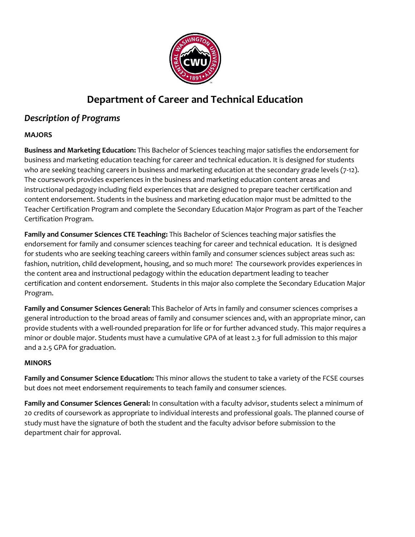

# **Department of Career and Technical Education**

# *Description of Programs*

## **MAJORS**

**Business and Marketing Education:** This Bachelor of Sciences teaching major satisfies the endorsement for business and marketing education teaching for career and technical education. It is designed for students who are seeking teaching careers in business and marketing education at the secondary grade levels (7-12). The coursework provides experiences in the business and marketing education content areas and instructional pedagogy including field experiences that are designed to prepare teacher certification and content endorsement. Students in the business and marketing education major must be admitted to the Teacher Certification Program and complete the Secondary Education Major Program as part of the Teacher Certification Program.

**Family and Consumer Sciences CTE Teaching:** This Bachelor of Sciences teaching major satisfies the endorsement for family and consumer sciences teaching for career and technical education. It is designed for students who are seeking teaching careers within family and consumer sciences subject areas such as: fashion, nutrition, child development, housing, and so much more! The coursework provides experiences in the content area and instructional pedagogy within the education department leading to teacher certification and content endorsement. Students in this major also complete the Secondary Education Major Program.

**Family and Consumer Sciences General:** This Bachelor of Arts in family and consumer sciences comprises a general introduction to the broad areas of family and consumer sciences and, with an appropriate minor, can provide students with a well-rounded preparation for life or for further advanced study. This major requires a minor or double major. Students must have a cumulative GPA of at least 2.3 for full admission to this major and a 2.5 GPA for graduation.

#### **MINORS**

**Family and Consumer Science Education:** This minor allows the student to take a variety of the FCSE courses but does not meet endorsement requirements to teach family and consumer sciences.

**Family and Consumer Sciences General:** In consultation with a faculty advisor, students select a minimum of 20 credits of coursework as appropriate to individual interests and professional goals. The planned course of study must have the signature of both the student and the faculty advisor before submission to the department chair for approval.